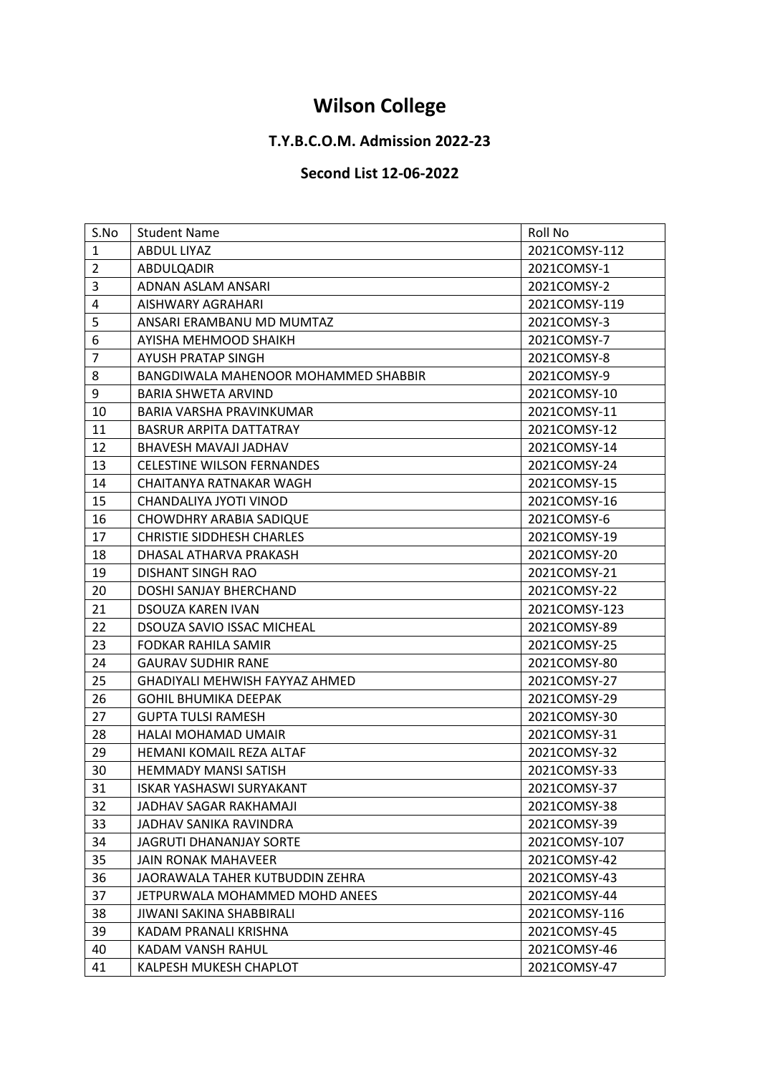## **Wilson College**

## **T.Y.B.C.O.M. Admission 2022-23**

## **Second List 12-06-2022**

| S.No           | <b>Student Name</b>                  | Roll No       |
|----------------|--------------------------------------|---------------|
| $\mathbf{1}$   | ABDUL LIYAZ                          | 2021COMSY-112 |
| $\overline{2}$ | ABDULQADIR                           | 2021COMSY-1   |
| 3              | ADNAN ASLAM ANSARI                   | 2021COMSY-2   |
| $\overline{4}$ | AISHWARY AGRAHARI                    | 2021COMSY-119 |
| 5              | ANSARI ERAMBANU MD MUMTAZ            | 2021COMSY-3   |
| 6              | AYISHA MEHMOOD SHAIKH                | 2021COMSY-7   |
| $\overline{7}$ | AYUSH PRATAP SINGH                   | 2021COMSY-8   |
| 8              | BANGDIWALA MAHENOOR MOHAMMED SHABBIR | 2021COMSY-9   |
| 9              | BARIA SHWETA ARVIND                  | 2021COMSY-10  |
| 10             | BARIA VARSHA PRAVINKUMAR             | 2021COMSY-11  |
| 11             | <b>BASRUR ARPITA DATTATRAY</b>       | 2021COMSY-12  |
| 12             | BHAVESH MAVAJI JADHAV                | 2021COMSY-14  |
| 13             | <b>CELESTINE WILSON FERNANDES</b>    | 2021COMSY-24  |
| 14             | CHAITANYA RATNAKAR WAGH              | 2021COMSY-15  |
| 15             | CHANDALIYA JYOTI VINOD               | 2021COMSY-16  |
| 16             | <b>CHOWDHRY ARABIA SADIQUE</b>       | 2021COMSY-6   |
| 17             | <b>CHRISTIE SIDDHESH CHARLES</b>     | 2021COMSY-19  |
| 18             | DHASAL ATHARVA PRAKASH               | 2021COMSY-20  |
| 19             | DISHANT SINGH RAO                    | 2021COMSY-21  |
| 20             | DOSHI SANJAY BHERCHAND               | 2021COMSY-22  |
| 21             | DSOUZA KAREN IVAN                    | 2021COMSY-123 |
| 22             | <b>DSOUZA SAVIO ISSAC MICHEAL</b>    | 2021COMSY-89  |
| 23             | FODKAR RAHILA SAMIR                  | 2021COMSY-25  |
| 24             | <b>GAURAV SUDHIR RANE</b>            | 2021COMSY-80  |
| 25             | GHADIYALI MEHWISH FAYYAZ AHMED       | 2021COMSY-27  |
| 26             | <b>GOHIL BHUMIKA DEEPAK</b>          | 2021COMSY-29  |
| 27             | <b>GUPTA TULSI RAMESH</b>            | 2021COMSY-30  |
| 28             | HALAI MOHAMAD UMAIR                  | 2021COMSY-31  |
| 29             | HEMANI KOMAIL REZA ALTAF             | 2021COMSY-32  |
| 30             | <b>HEMMADY MANSI SATISH</b>          | 2021COMSY-33  |
| 31             | <b>ISKAR YASHASWI SURYAKANT</b>      | 2021COMSY-37  |
| 32             | JADHAV SAGAR RAKHAMAJI               | 2021COMSY-38  |
| 33             | JADHAV SANIKA RAVINDRA               | 2021COMSY-39  |
| 34             | <b>JAGRUTI DHANANJAY SORTE</b>       | 2021COMSY-107 |
| 35             | JAIN RONAK MAHAVEER                  | 2021COMSY-42  |
| 36             | JAORAWALA TAHER KUTBUDDIN ZEHRA      | 2021COMSY-43  |
| 37             | JETPURWALA MOHAMMED MOHD ANEES       | 2021COMSY-44  |
| 38             | JIWANI SAKINA SHABBIRALI             | 2021COMSY-116 |
| 39             | KADAM PRANALI KRISHNA                | 2021COMSY-45  |
|                | KADAM VANSH RAHUL                    | 2021COMSY-46  |
| 40             |                                      |               |
| 41             | KALPESH MUKESH CHAPLOT               | 2021COMSY-47  |